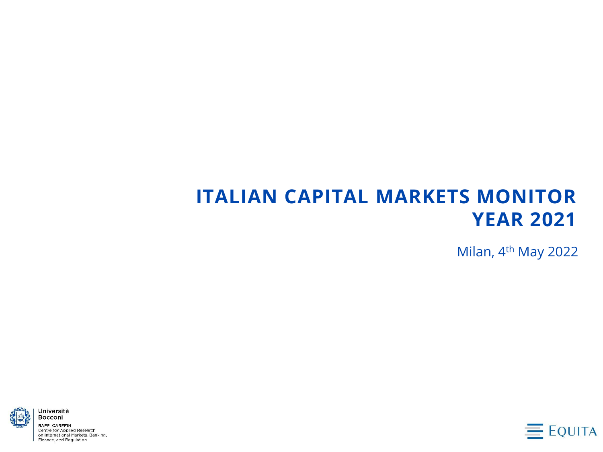# **ITALIAN CAPITAL MARKETS MONITOR YEAR 2021**

Milan, 4th May 2022



**BAFFI CAREFIN** Centre for Applied Research on International Markets, Banking, Finance, and Regulation

Università **Bocconi** 

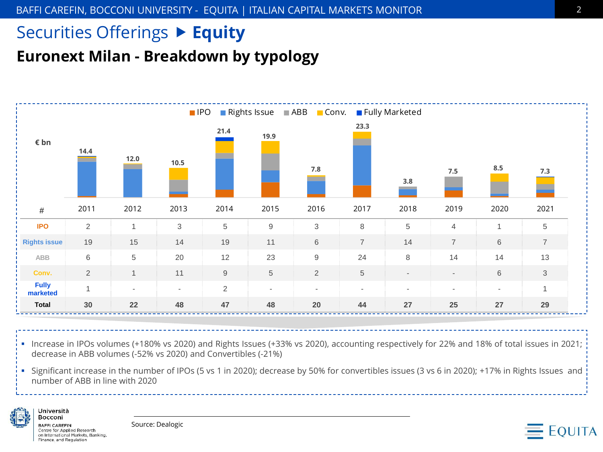### **Euronext Milan - Breakdown by typology**



▪ Increase in IPOs volumes (+180% vs 2020) and Rights Issues (+33% vs 2020), accounting respectively for 22% and 18% of total issues in 2021; decrease in ABB volumes (-52% vs 2020) and Convertibles (-21%)

▪ Significant increase in the number of IPOs (5 vs 1 in 2020); decrease by 50% for convertibles issues (3 vs 6 in 2020); +17% in Rights Issues and number of ABB in line with 2020



**BAFFI CAREFIN** Centre for Applied Research on International Markets, Banking, Finance, and Regulation

Università Bocconi

Source: Dealogic

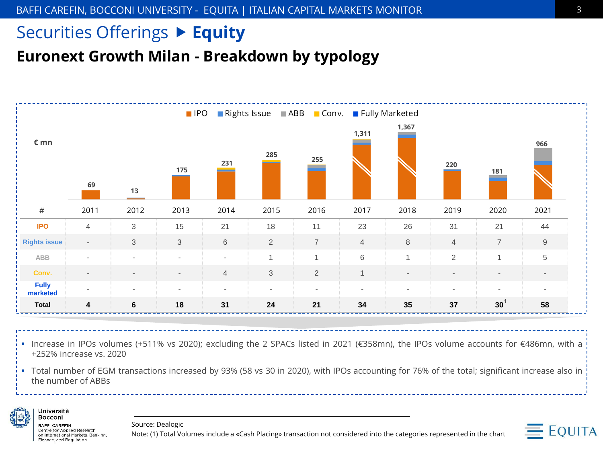**Euronext Growth Milan - Breakdown by typology**



▪ Increase in IPOs volumes (+511% vs 2020); excluding the 2 SPACs listed in 2021 (€358mn), the IPOs volume accounts for €486mn, with a +252% increase vs. 2020

▪ Total number of EGM transactions increased by 93% (58 vs 30 in 2020), with IPOs accounting for 76% of the total; significant increase also in the number of ABBs



**BAFFI CAREFIN** Centre for Applied Research on International Markets, Banking, Finance, and Regulation

Università **Bocconi** 

Source: Dealogic

Note: (1) Total Volumes include a «Cash Placing» transaction not considered into the categories represented in the chart

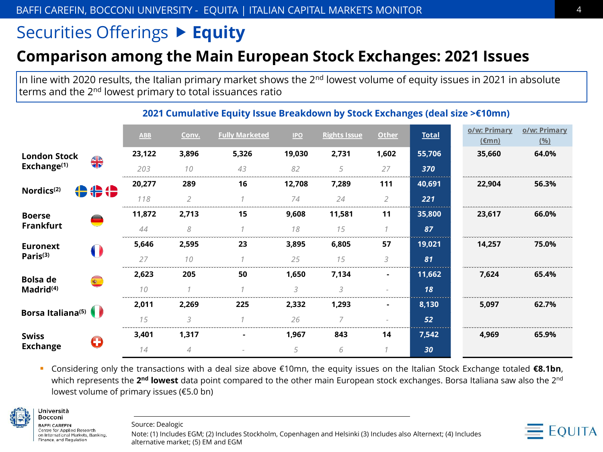#### **Comparison among the Main European Stock Exchanges: 2021 Issues**

In line with 2020 results, the Italian primary market shows the 2<sup>nd</sup> lowest volume of equity issues in 2021 in absolute terms and the 2nd lowest primary to total issuances ratio

|                                                |                                        | <b>ABB</b> | Conv.          | <b>Fully Marketed</b> | <b>IPO</b> | <b>Rights Issue</b> | <b>Other</b>   | <b>Total</b> | o/w: Primary<br>$(\epsilon$ mn) | o/w: Primary<br>(96) |
|------------------------------------------------|----------------------------------------|------------|----------------|-----------------------|------------|---------------------|----------------|--------------|---------------------------------|----------------------|
| <b>London Stock</b><br>Exchange <sup>(1)</sup> | $\frac{4}{3}$                          | 23,122     | 3,896          | 5,326                 | 19,030     | 2,731               | 1,602          | 55,706       | 35,660                          | 64.0%                |
|                                                |                                        | 203        | 10             | 43                    | 82         | 5                   | 27             | 370          |                                 |                      |
| Nordics <sup>(2)</sup>                         | 令令令                                    | 20,277     | 289            | 16                    | 12,708     | 7,289               | 111            | 40,691       | 22,904                          | 56.3%                |
|                                                |                                        | 118        | $\overline{2}$ |                       | 74         | 24                  | $\overline{2}$ | 221          |                                 |                      |
| <b>Boerse</b><br><b>Frankfurt</b>              | $\rightarrow$                          | 11,872     | 2,713          | 15                    | 9,608      | 11,581              | 11             | 35,800       | 23,617                          | 66.0%                |
|                                                | $\equiv$                               | 44         | 8              |                       | 18         | 15                  | $\mathcal I$   | 87           |                                 |                      |
| <b>Euronext</b><br>Paris <sup>(3)</sup>        | $\begin{pmatrix} 1 \\ 1 \end{pmatrix}$ | 5,646      | 2,595          | 23                    | 3,895      | 6,805               | 57             | 19,021       | 14,257                          | 75.0%                |
|                                                |                                        | 27         | 10             |                       | 25         | 15                  | 3              | 81           |                                 |                      |
| <b>Bolsa</b> de<br>Madrid <sup>(4)</sup>       |                                        | 2,623      | 205            | 50                    | 1,650      | 7,134               |                | 11,662       | 7,624                           | 65.4%                |
|                                                |                                        | 10         |                |                       | 3          | 3                   |                | 18           |                                 |                      |
| Borsa Italiana <sup>(5)</sup>                  |                                        | 2,011      | 2,269          | 225                   | 2,332      | 1,293               | $\blacksquare$ | 8,130        | 5,097                           | 62.7%                |
|                                                |                                        | 15         | $\mathcal{L}$  |                       | 26         | $\overline{7}$      |                | 52           |                                 |                      |
| <b>Swiss</b><br><b>Exchange</b>                | O                                      | 3,401      | 1,317          |                       | 1,967      | 843                 | 14             | 7,542        | 4,969                           | 65.9%                |
|                                                |                                        | 14         | $\overline{4}$ |                       | 5          | 6                   |                | 30           |                                 |                      |

#### **2021 Cumulative Equity Issue Breakdown by Stock Exchanges (deal size >€10mn)**

▪ Considering only the transactions with a deal size above €10mn, the equity issues on the Italian Stock Exchange totaled **€8.1bn**, which represents the **2<sup>nd</sup> lowest** data point compared to the other main European stock exchanges. Borsa Italiana saw also the 2<sup>nd</sup> lowest volume of primary issues (€5.0 bn)



**BAFFI CAREFIN** Centre for Applied Research on International Markets, Banking, Finance, and Regulation

Università **Bocconi** 

Source: Dealogic

Note: (1) Includes EGM; (2) Includes Stockholm, Copenhagen and Helsinki (3) Includes also Alternext; (4) Includes alternative market; (5) EM and EGM

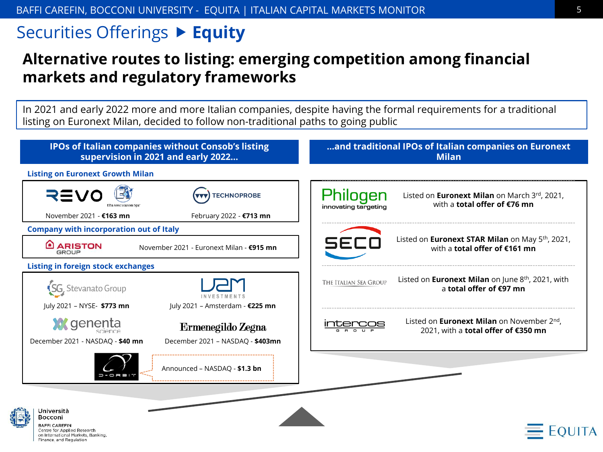#### **Alternative routes to listing: emerging competition among financial markets and regulatory frameworks**

In 2021 and early 2022 more and more Italian companies, despite having the formal requirements for a traditional listing on Euronext Milan, decided to follow non-traditional paths to going public

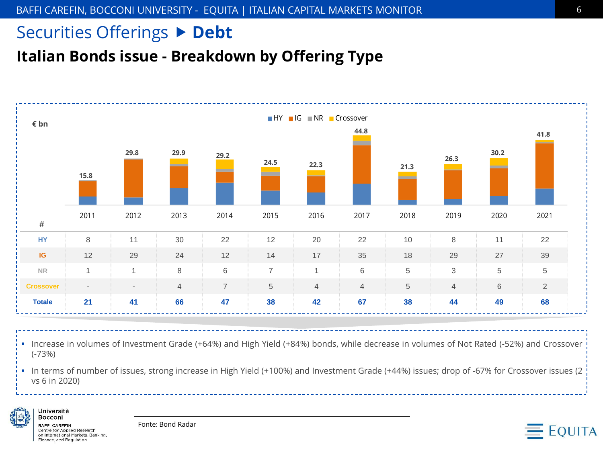### Securities Offerings  $\triangleright$  Debt

**Italian Bonds issue - Breakdown by Offering Type**



▪ Increase in volumes of Investment Grade (+64%) and High Yield (+84%) bonds, while decrease in volumes of Not Rated (-52%) and Crossover (-73%)

▪ In terms of number of issues, strong increase in High Yield (+100%) and Investment Grade (+44%) issues; drop of -67% for Crossover issues (2 vs 6 in 2020)



**BAFFLCAREEIN** Centre for Applied Research on International Markets, Banking, Finance, and Regulation

Università Bocconi

Fonte: Bond Radar

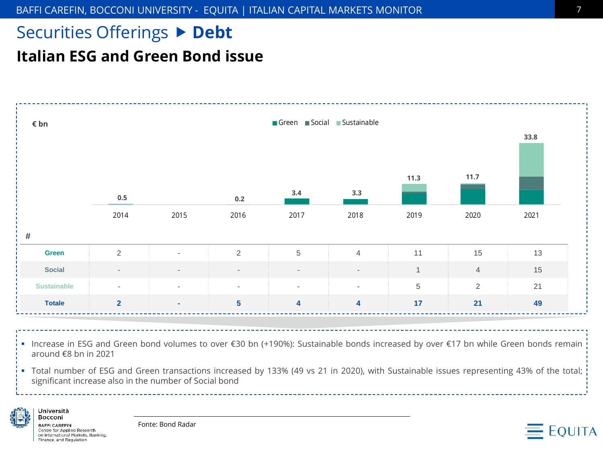#### Securities Offerings  $\triangleright$  Debt

#### **Italian ESG and Green Bond issue**



- Increase in ESG and Green bond volumes to over €30 bn (+190%): Sustainable bonds increased by over €17 bn while Green bonds remain around €8 bn in 2021
- Total number of ESG and Green transactions increased by 133% (49 vs 21 in 2020), with Sustainable issues representing 43% of the total; significant increase also in the number of Social bond



**BAFFI CAREFIN** Centre for Applied Research on International Markets, Banking, Finance, and Regulation

Università **Bocconi** 

Fonte: Bond Radar

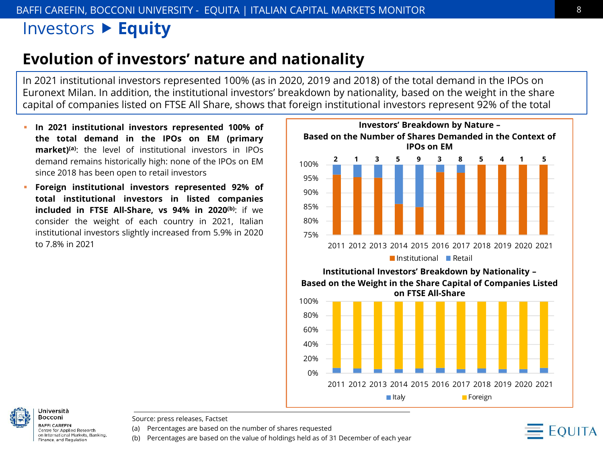#### Investors **Equity**

#### **Evolution of investors' nature and nationality**

In 2021 institutional investors represented 100% (as in 2020, 2019 and 2018) of the total demand in the IPOs on Euronext Milan. In addition, the institutional investors' breakdown by nationality, based on the weight in the share capital of companies listed on FTSE All Share, shows that foreign institutional investors represent 92% of the total

- **In 2021 institutional investors represented 100% of the total demand in the IPOs on EM (primary market)(a)**: the level of institutional investors in IPOs demand remains historically high: none of the IPOs on EM since 2018 has been open to retail investors
- **Foreign institutional investors represented 92% of total institutional investors in listed companies included in FTSE All-Share, vs 94% in 2020(b)**: if we consider the weight of each country in 2021, Italian institutional investors slightly increased from 5.9% in 2020 to 7.8% in 2021



■Italy **Foreign** 

**BAFFI CAREFIN** Centre for Applied Research on International Markets, Banking, Finance, and Regulation

Università **Bocconi** 

Source: press releases, Factset

(a) Percentages are based on the number of shares requested

(b) Percentages are based on the value of holdings held as of 31 December of each year